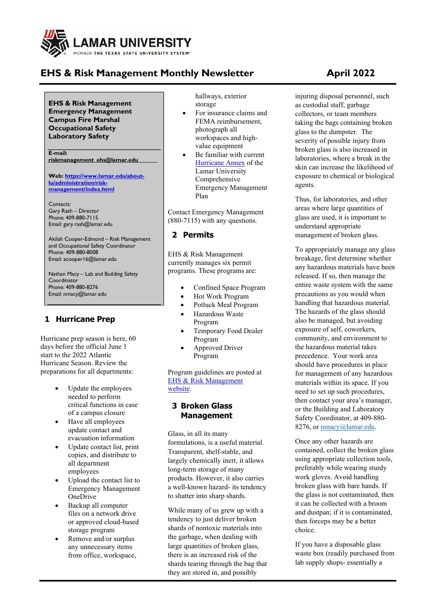

# **EHS & Risk Management Monthly Newsletter April 2022**

**EHS & Risk Management Emergency Management Campus Fire Marshal Occupational Safety Laboratory Safety**

**E-mail: [riskmanagement\\_ehs@lamar.edu](mailto:riskmanagement_ehs@lamar.edu)**

**Web[: https://www.lamar.edu/about](https://www.lamar.edu/about-lu/administration/risk-management/index.html)[lu/administration/risk](https://www.lamar.edu/about-lu/administration/risk-management/index.html)[management/index.html](https://www.lamar.edu/about-lu/administration/risk-management/index.html)**

Contacts: Gary Rash – Director Phone: 409-880-7115 Email: [gary.rash@lamar.edu](mailto:gary.rash@lamar.edu)

Akilah Cooper-Edmond – Risk Management and Occupational Safety Coordinator Phone: 409-880-8008 Email: [acooper16@lamar.edu](mailto:acooper16@lamar.edu)

Nathan Macy – Lab and Building Safety Coordinator Phone: 409-880-8276 Email: [nmacy@lamar.edu](mailto:nmacy@lamar.edu)

## **1 Hurricane Prep**

Hurricane prep season is here, 60 days before the official June 1 start to the 2022 Atlantic Hurricane Season. Review the preparations for all departments:

- Update the employees needed to perform critical functions in case of a campus closure
- Have all employees update contact and evacuation information
- Update contact list, print copies, and distribute to all department employees
- Upload the contact list to Emergency Management **OneDrive**
- Backup all computer files on a network drive or approved cloud-based storage program
- Remove and/or surplus any unnecessary items from office, workspace,

hallways, exterior storage

- For insurance claims and FEMA reimbursement, photograph all workspaces and highvalue equipment
- Be familiar with current [Hurricane Annex](chrome-extension://efaidnbmnnnibpcajpcglclefindmkaj/viewer.html?pdfurl=https%3A%2F%2Fwww.lamar.edu%2F_files%2Fdocuments%2Frisk-management%2Fhurricane-manual-060121_updated.pdf&clen=3400256&chunk=true) of the Lamar University Comprehensive Emergency Management Plan

Contact Emergency Management (880-7115) with any questions.

## **2 Permits**

EHS & Risk Management currently manages six permit programs. These programs are:

- Confined Space Program
- Hot Work Program
- Potluck Meal Program
- Hazardous Waste Program
- Temporary Food Dealer Program
- Approved Driver Program

Program guidelines are posted at EHS & [Risk Management](https://www.lamar.edu/about-lu/administration/risk-management/index.html) [website.](https://www.lamar.edu/about-lu/administration/risk-management/index.html)

### **3 Broken Glass Management**

Glass, in all its many formulations, is a useful material. Transparent, shelf-stable, and largely chemically inert, it allows long-term storage of many products. However, it also carries a well-known hazard- its tendency to shatter into sharp shards.

While many of us grew up with a tendency to just deliver broken shards of nontoxic materials into the garbage, when dealing with large quantities of broken glass, there is an increased risk of the shards tearing through the bag that they are stored in, and possibly

injuring disposal personnel, such as custodial staff, garbage collectors, or team members taking the bags containing broken glass to the dumpster. The severity of possible injury from broken glass is also increased in laboratories, where a break in the skin can increase the likelihood of exposure to chemical or biological agents.

Thus, for laboratories, and other areas where large quantities of glass are used, it is important to understand appropriate management of broken glass.

To appropriately manage any glass breakage, first determine whether any hazardous materials have been released. If so, then manage the entire waste system with the same precautions as you would when handling that hazardous material. The hazards of the glass should also be managed, but avoiding exposure of self, coworkers, community, and environment to the hazardous material takes precedence. Your work area should have procedures in place for management of any hazardous materials within its space. If you need to set up such procedures, then contact your area's manager, or the Building and Laboratory Safety Coordinator, at 409-880 8276, or [nmacy@lamar.edu.](mailto:nmacy@lamar.edu)

Once any other hazards are contained, collect the broken glass using appropriate collection tools, preferably while wearing sturdy work gloves. Avoid handling broken glass with bare hands. If the glass is not contaminated, then it can be collected with a broom and dustpan; if it is contaminated, then forceps may be a better choice.

If you have a disposable glass waste box (readily purchased from lab supply shops- essentially a